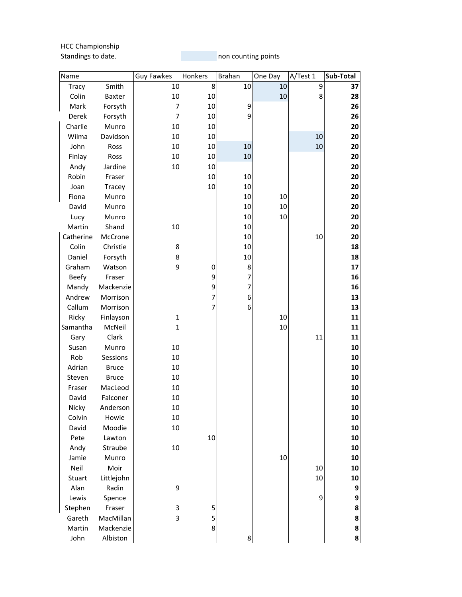HCC Championship

## Standings to date. The matrix of the counting points of the counting points

| Name            |                   | <b>Guy Fawkes</b>        | Honkers        | <b>Brahan</b>  | One Day | A/Test 1 | Sub-Total        |
|-----------------|-------------------|--------------------------|----------------|----------------|---------|----------|------------------|
| <b>Tracy</b>    | Smith             | 10                       | 8              | 10             | 10      | 9        | 37               |
| Colin           | Baxter            | 10                       | 10             |                | 10      | 8        | 28               |
| Mark            | Forsyth           | $\overline{\mathcal{I}}$ | 10             | 9              |         |          | 26               |
| Derek           | Forsyth           | $\overline{7}$           | 10             | 9              |         |          | 26               |
| Charlie         | Munro             | 10                       | 10             |                |         |          | 20               |
| Wilma           | Davidson          | 10                       | 10             |                |         | 10       | 20               |
| John            | Ross              | 10                       | 10             | 10             |         | 10       | 20               |
| Finlay          | Ross              | 10                       | 10             | 10             |         |          | 20               |
| Andy            | Jardine           | 10                       | 10             |                |         |          | 20               |
| Robin           | Fraser            |                          | 10             | 10             |         |          | 20               |
| Joan            | Tracey            |                          | 10             | 10             |         |          | 20               |
| Fiona           | Munro             |                          |                | 10             | 10      |          | 20               |
| David           | Munro             |                          |                | 10             | 10      |          | 20               |
| Lucy            | Munro             |                          |                | 10             | 10      |          | 20               |
| Martin          | Shand             | 10                       |                | 10             |         |          | 20               |
| Catherine       | McCrone           |                          |                | 10             |         | 10       | 20               |
| Colin           | Christie          | 8                        |                | 10             |         |          | 18               |
| Daniel          | Forsyth           | 8                        |                | 10             |         |          | 18               |
| Graham          | Watson            | 9                        | $\pmb{0}$      | 8              |         |          | 17               |
| Beefy           | Fraser            |                          | 9              | $\overline{7}$ |         |          | 16               |
| Mandy           | Mackenzie         |                          | 9              | 7              |         |          | 16               |
| Andrew          | Morrison          |                          | $\overline{7}$ | 6              |         |          | 13               |
| Callum          | Morrison          |                          | $\overline{7}$ | 6              |         |          | 13               |
| Ricky           | Finlayson         | $\mathbf{1}$             |                |                | 10      |          | 11               |
| Samantha        | McNeil            | $\mathbf{1}$             |                |                | 10      |          | 11               |
| Gary            | Clark             |                          |                |                |         | 11       | 11               |
| Susan           | Munro             | $10\,$                   |                |                |         |          | 10               |
| Rob             | Sessions          | $10\,$                   |                |                |         |          | 10               |
| Adrian          | <b>Bruce</b>      | 10                       |                |                |         |          | 10               |
| Steven          | <b>Bruce</b>      | 10                       |                |                |         |          | 10               |
| Fraser          | MacLeod           | 10                       |                |                |         |          | 10               |
| David           | Falconer          | 10<br>$10\,$             |                |                |         |          | 10<br>10         |
| Nicky<br>Colvin | Anderson<br>Howie | $10\,$                   |                |                |         |          | 10               |
| David           | Moodie            | $10\,$                   |                |                |         |          | 10               |
| Pete            | Lawton            |                          | 10             |                |         |          | 10               |
| Andy            | Straube           | $10\,$                   |                |                |         |          | ${\bf 10}$       |
| Jamie           | Munro             |                          |                |                | 10      |          | 10               |
| Neil            | Moir              |                          |                |                |         | 10       | 10               |
| Stuart          | Littlejohn        |                          |                |                |         | 10       | ${\bf 10}$       |
| Alan            | Radin             | 9                        |                |                |         |          | 9                |
| Lewis           | Spence            |                          |                |                |         | 9        | 9                |
| Stephen         | Fraser            | 3                        | 5              |                |         |          | 8                |
| Gareth          | MacMillan         | 3                        | 5              |                |         |          | 8                |
| Martin          | Mackenzie         |                          | $\bf 8$        |                |         |          | 8                |
| John            | Albiston          |                          |                | 8              |         |          | $\boldsymbol{8}$ |